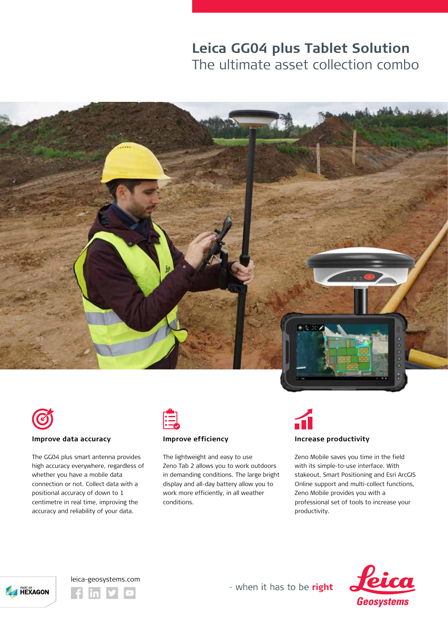# **Leica GG04 plus Tablet Solution** The ultimate asset collection combo





#### **Improve data accuracy**

The GG04 plus smart antenna provides high accuracy everywhere, regardless of whether you have a mobile data connection or not. Collect data with a positional accuracy of down to 1 centimetre in real time, improving the accuracy and reliability of your data.



# **Improve efficiency**

The lightweight and easy to use Zeno Tab 2 allows you to work outdoors in demanding conditions. The large bright display and all-day battery allow you to work more efficiently, in all weather conditions.



### **Increase productivity**

Zeno Mobile saves you time in the field with its simple-to-use interface. With stakeout, Smart Positioning and Esri ArcGIS Online support and multi-collect functions, Zeno Mobile provides you with a professional set of tools to increase your productivity.









- when it has to be right